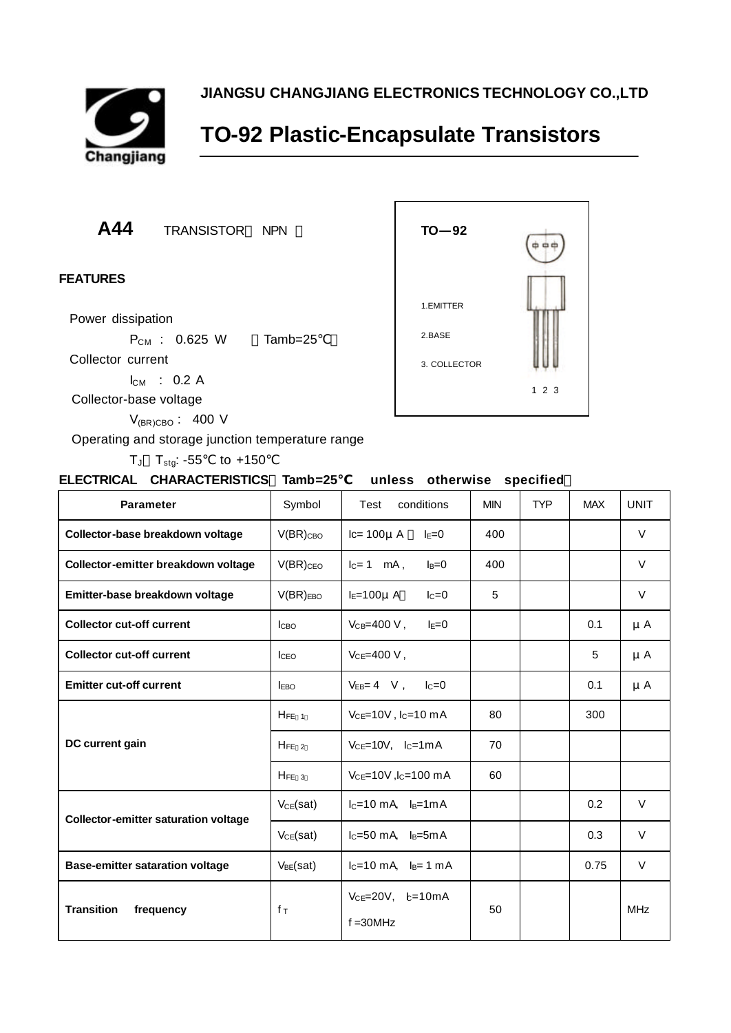

**JIANGSU CHANGJIANG ELECTRONICS TECHNOLOGY CO.,LTD**

## **TO-92 Plastic-Encapsulate Transistors**

**A44** TRANSISTOR NPN

## **FEATURES**

Power dissipation

 $P_{CM}$  : 0.625 W Tamb=25

Collector current

 $I_{CM}$  : 0.2 A

Collector-base voltage

 $V_{(BR)CBO}$ : 400 V

Operating and storage junction temperature range

 $T_J$   $T_{\text{stg}}$ : -55 to +150



| ELECTRICAL CHARACTERISTICS Tamb=25 |  | unless otherwise specified |  |
|------------------------------------|--|----------------------------|--|
|                                    |  |                            |  |

| <b>Parameter</b>                            | Symbol           | conditions<br>Test                     | <b>MIN</b> | <b>TYP</b> | <b>MAX</b> | <b>UNIT</b> |
|---------------------------------------------|------------------|----------------------------------------|------------|------------|------------|-------------|
| Collector-base breakdown voltage            | $V(BR)_{CBO}$    | $lc=100\mu$ A<br>$I_E=0$               | 400        |            |            | $\vee$      |
| Collector-emitter breakdown voltage         | $V(BR)_{CEO}$    | $I_C = 1$ mA,<br>$I_B = 0$             | 400        |            |            | $\vee$      |
| Emitter-base breakdown voltage              | $V(BR)_{EBO}$    | $I_E=100\mu$ A<br>$IC=0$               | 5          |            |            | V           |
| <b>Collector cut-off current</b>            | <b>I</b> сво     | $V_{CB} = 400 V$ ,<br>$I_{E}=0$        |            |            | 0.1        | μA          |
| <b>Collector cut-off current</b>            | I <sub>CEO</sub> | $V_{CE} = 400 V,$                      |            |            | 5          | $\mu$ A     |
| <b>Emitter cut-off current</b>              | <b>IEBO</b>      | $V_{EB} = 4$ V, $I_C = 0$              |            |            | 0.1        | μA          |
|                                             | $H_{FE}$ 1       | $V_{CE}$ =10V, $I_C$ =10 mA            | 80         |            | 300        |             |
| DC current gain                             | $H_{FE}$ 2       | $V_{CE}=10V$ , $I_C=1mA$               | 70         |            |            |             |
|                                             | $H_{FE}$ 3       | $V_{CE}$ =10V, $I_C$ =100 mA           | 60         |            |            |             |
| <b>Collector-emitter saturation voltage</b> | $V_{CE}(sat)$    | $I_C=10$ mA, $I_B=1$ mA                |            |            | 0.2        | V           |
|                                             | $V_{CE}(sat)$    | $I_C = 50$ mA, $I_B = 5$ mA            |            |            | 0.3        | V           |
| <b>Base-emitter sataration voltage</b>      | $V_{BE}(sat)$    | $I_C = 10$ mA, $I_B = 1$ mA            |            |            | 0.75       | V           |
| <b>Transition</b><br>frequency              | $f_{\rm T}$      | $V_{CE}$ =20V, $b=10mA$<br>$f = 30MHz$ | 50         |            |            | <b>MHz</b>  |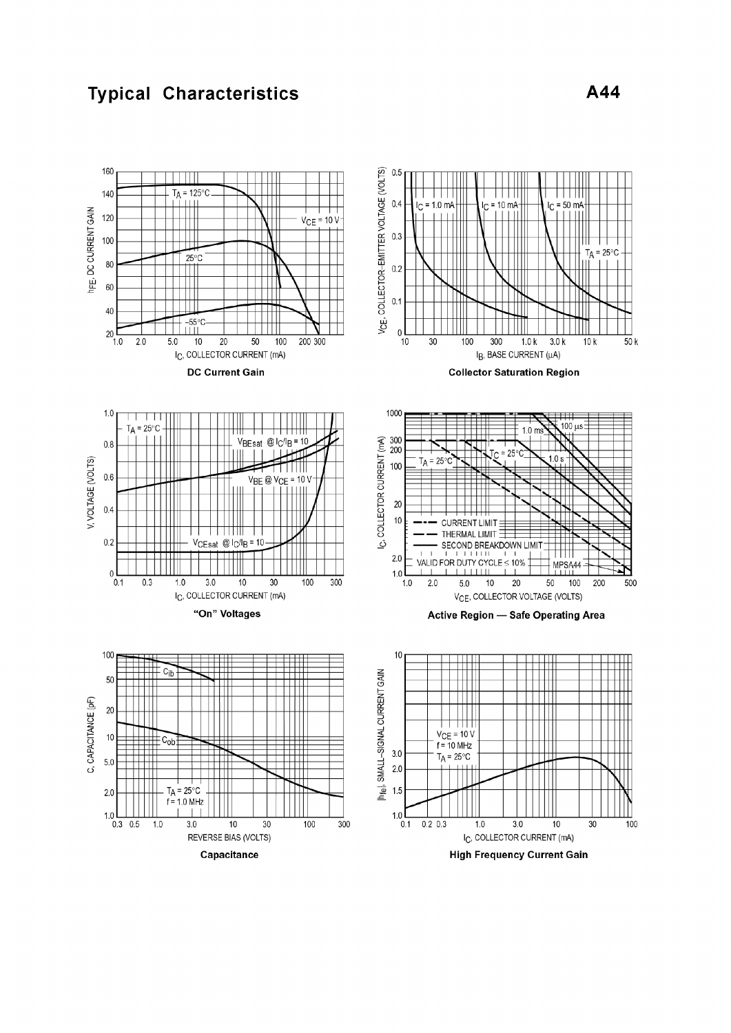